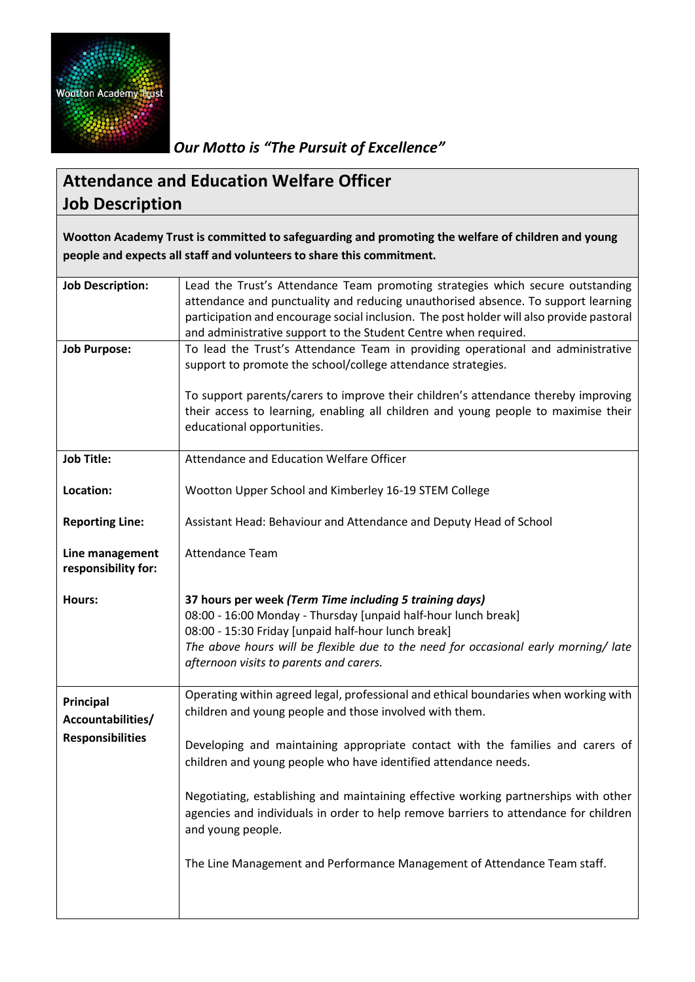

*Our Motto is "The Pursuit of Excellence"*

## **Attendance and Education Welfare Officer Job Description**

**Wootton Academy Trust is committed to safeguarding and promoting the welfare of children and young people and expects all staff and volunteers to share this commitment.**

| <b>Job Description:</b>                                   | Lead the Trust's Attendance Team promoting strategies which secure outstanding<br>attendance and punctuality and reducing unauthorised absence. To support learning<br>participation and encourage social inclusion. The post holder will also provide pastoral<br>and administrative support to the Student Centre when required.                        |  |  |
|-----------------------------------------------------------|-----------------------------------------------------------------------------------------------------------------------------------------------------------------------------------------------------------------------------------------------------------------------------------------------------------------------------------------------------------|--|--|
| <b>Job Purpose:</b>                                       | To lead the Trust's Attendance Team in providing operational and administrative<br>support to promote the school/college attendance strategies.<br>To support parents/carers to improve their children's attendance thereby improving<br>their access to learning, enabling all children and young people to maximise their<br>educational opportunities. |  |  |
| <b>Job Title:</b>                                         | Attendance and Education Welfare Officer                                                                                                                                                                                                                                                                                                                  |  |  |
| Location:                                                 | Wootton Upper School and Kimberley 16-19 STEM College                                                                                                                                                                                                                                                                                                     |  |  |
| <b>Reporting Line:</b>                                    | Assistant Head: Behaviour and Attendance and Deputy Head of School                                                                                                                                                                                                                                                                                        |  |  |
| Line management<br>responsibility for:                    | <b>Attendance Team</b>                                                                                                                                                                                                                                                                                                                                    |  |  |
| Hours:                                                    | 37 hours per week (Term Time including 5 training days)<br>08:00 - 16:00 Monday - Thursday [unpaid half-hour lunch break]<br>08:00 - 15:30 Friday [unpaid half-hour lunch break]<br>The above hours will be flexible due to the need for occasional early morning/late<br>afternoon visits to parents and carers.                                         |  |  |
| Principal<br>Accountabilities/<br><b>Responsibilities</b> | Operating within agreed legal, professional and ethical boundaries when working with<br>children and young people and those involved with them.                                                                                                                                                                                                           |  |  |
|                                                           | Developing and maintaining appropriate contact with the families and carers of<br>children and young people who have identified attendance needs.                                                                                                                                                                                                         |  |  |
|                                                           | Negotiating, establishing and maintaining effective working partnerships with other<br>agencies and individuals in order to help remove barriers to attendance for children<br>and young people.                                                                                                                                                          |  |  |
|                                                           | The Line Management and Performance Management of Attendance Team staff.                                                                                                                                                                                                                                                                                  |  |  |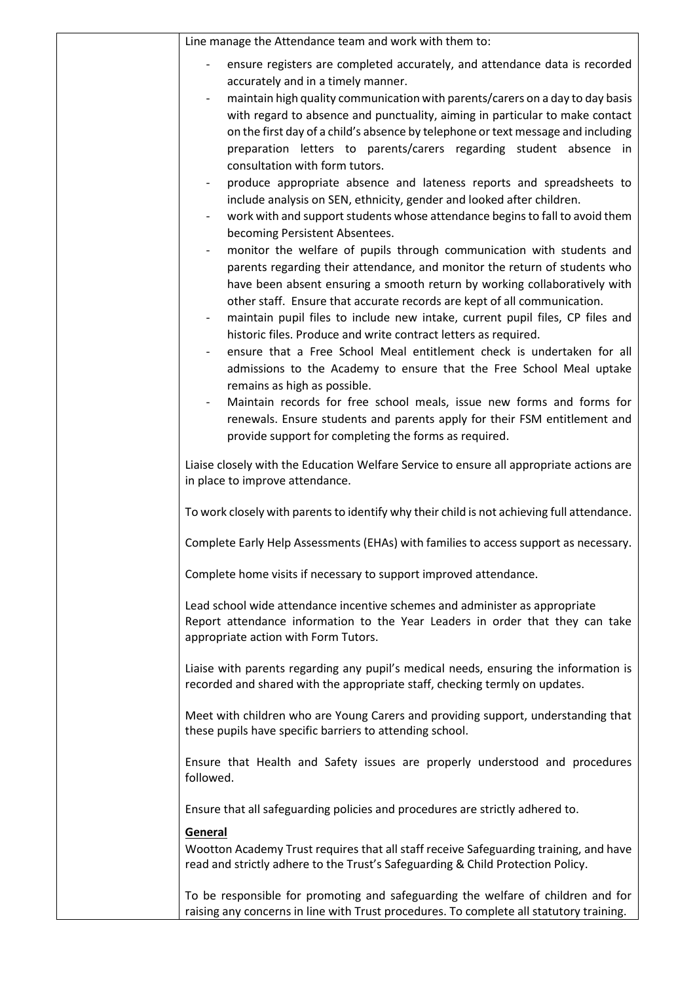| Line manage the Attendance team and work with them to:                                                                                                                                                                                                                                                                                                                                                                                                                                                                                                                                                                                                                                                                                                                                                                                                                                                                                                                                                                                                                                                                                                                                                                                                                                                                                                                                                                                                                                                                                                                                                               |  |  |
|----------------------------------------------------------------------------------------------------------------------------------------------------------------------------------------------------------------------------------------------------------------------------------------------------------------------------------------------------------------------------------------------------------------------------------------------------------------------------------------------------------------------------------------------------------------------------------------------------------------------------------------------------------------------------------------------------------------------------------------------------------------------------------------------------------------------------------------------------------------------------------------------------------------------------------------------------------------------------------------------------------------------------------------------------------------------------------------------------------------------------------------------------------------------------------------------------------------------------------------------------------------------------------------------------------------------------------------------------------------------------------------------------------------------------------------------------------------------------------------------------------------------------------------------------------------------------------------------------------------------|--|--|
| ensure registers are completed accurately, and attendance data is recorded<br>$\overline{\phantom{a}}$<br>accurately and in a timely manner.<br>maintain high quality communication with parents/carers on a day to day basis<br>with regard to absence and punctuality, aiming in particular to make contact<br>on the first day of a child's absence by telephone or text message and including<br>preparation letters to parents/carers regarding student absence in<br>consultation with form tutors.<br>produce appropriate absence and lateness reports and spreadsheets to<br>include analysis on SEN, ethnicity, gender and looked after children.<br>work with and support students whose attendance begins to fall to avoid them<br>becoming Persistent Absentees.<br>monitor the welfare of pupils through communication with students and<br>parents regarding their attendance, and monitor the return of students who<br>have been absent ensuring a smooth return by working collaboratively with<br>other staff. Ensure that accurate records are kept of all communication.<br>maintain pupil files to include new intake, current pupil files, CP files and<br>historic files. Produce and write contract letters as required.<br>ensure that a Free School Meal entitlement check is undertaken for all<br>$\overline{\phantom{a}}$<br>admissions to the Academy to ensure that the Free School Meal uptake<br>remains as high as possible.<br>Maintain records for free school meals, issue new forms and forms for<br>renewals. Ensure students and parents apply for their FSM entitlement and |  |  |
| provide support for completing the forms as required.                                                                                                                                                                                                                                                                                                                                                                                                                                                                                                                                                                                                                                                                                                                                                                                                                                                                                                                                                                                                                                                                                                                                                                                                                                                                                                                                                                                                                                                                                                                                                                |  |  |
| Liaise closely with the Education Welfare Service to ensure all appropriate actions are<br>in place to improve attendance.                                                                                                                                                                                                                                                                                                                                                                                                                                                                                                                                                                                                                                                                                                                                                                                                                                                                                                                                                                                                                                                                                                                                                                                                                                                                                                                                                                                                                                                                                           |  |  |
| To work closely with parents to identify why their child is not achieving full attendance.                                                                                                                                                                                                                                                                                                                                                                                                                                                                                                                                                                                                                                                                                                                                                                                                                                                                                                                                                                                                                                                                                                                                                                                                                                                                                                                                                                                                                                                                                                                           |  |  |
| Complete Early Help Assessments (EHAs) with families to access support as necessary.                                                                                                                                                                                                                                                                                                                                                                                                                                                                                                                                                                                                                                                                                                                                                                                                                                                                                                                                                                                                                                                                                                                                                                                                                                                                                                                                                                                                                                                                                                                                 |  |  |
| Complete home visits if necessary to support improved attendance.                                                                                                                                                                                                                                                                                                                                                                                                                                                                                                                                                                                                                                                                                                                                                                                                                                                                                                                                                                                                                                                                                                                                                                                                                                                                                                                                                                                                                                                                                                                                                    |  |  |
| Lead school wide attendance incentive schemes and administer as appropriate<br>Report attendance information to the Year Leaders in order that they can take<br>appropriate action with Form Tutors.                                                                                                                                                                                                                                                                                                                                                                                                                                                                                                                                                                                                                                                                                                                                                                                                                                                                                                                                                                                                                                                                                                                                                                                                                                                                                                                                                                                                                 |  |  |
| Liaise with parents regarding any pupil's medical needs, ensuring the information is<br>recorded and shared with the appropriate staff, checking termly on updates.                                                                                                                                                                                                                                                                                                                                                                                                                                                                                                                                                                                                                                                                                                                                                                                                                                                                                                                                                                                                                                                                                                                                                                                                                                                                                                                                                                                                                                                  |  |  |
| Meet with children who are Young Carers and providing support, understanding that<br>these pupils have specific barriers to attending school.                                                                                                                                                                                                                                                                                                                                                                                                                                                                                                                                                                                                                                                                                                                                                                                                                                                                                                                                                                                                                                                                                                                                                                                                                                                                                                                                                                                                                                                                        |  |  |
| Ensure that Health and Safety issues are properly understood and procedures<br>followed.                                                                                                                                                                                                                                                                                                                                                                                                                                                                                                                                                                                                                                                                                                                                                                                                                                                                                                                                                                                                                                                                                                                                                                                                                                                                                                                                                                                                                                                                                                                             |  |  |
| Ensure that all safeguarding policies and procedures are strictly adhered to.                                                                                                                                                                                                                                                                                                                                                                                                                                                                                                                                                                                                                                                                                                                                                                                                                                                                                                                                                                                                                                                                                                                                                                                                                                                                                                                                                                                                                                                                                                                                        |  |  |
| General<br>Wootton Academy Trust requires that all staff receive Safeguarding training, and have<br>read and strictly adhere to the Trust's Safeguarding & Child Protection Policy.                                                                                                                                                                                                                                                                                                                                                                                                                                                                                                                                                                                                                                                                                                                                                                                                                                                                                                                                                                                                                                                                                                                                                                                                                                                                                                                                                                                                                                  |  |  |
| To be responsible for promoting and safeguarding the welfare of children and for<br>raising any concerns in line with Trust procedures. To complete all statutory training.                                                                                                                                                                                                                                                                                                                                                                                                                                                                                                                                                                                                                                                                                                                                                                                                                                                                                                                                                                                                                                                                                                                                                                                                                                                                                                                                                                                                                                          |  |  |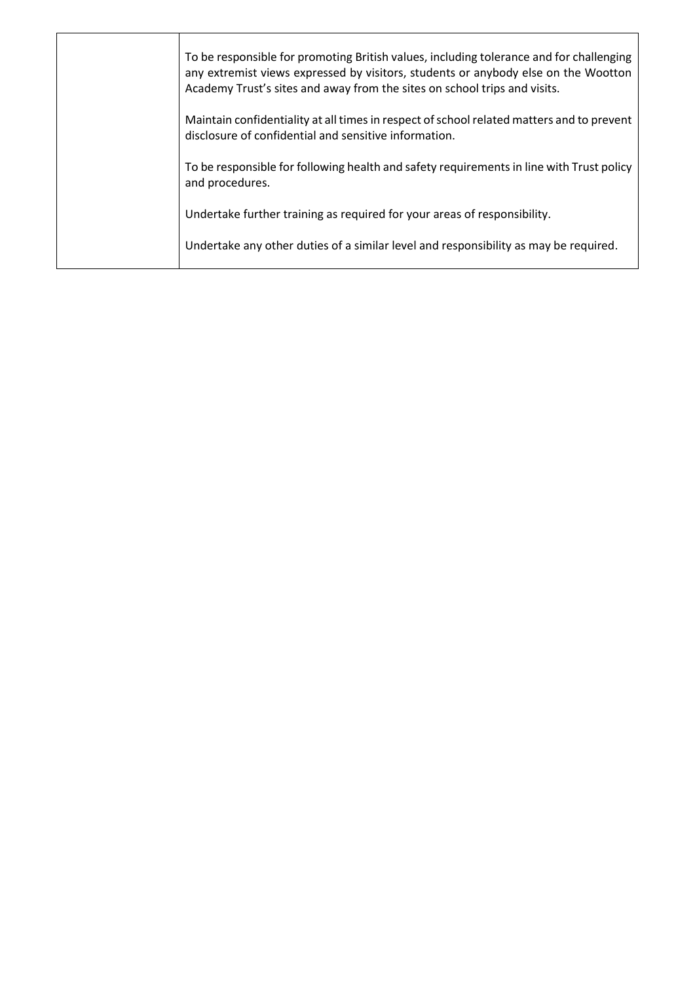| To be responsible for promoting British values, including tolerance and for challenging<br>any extremist views expressed by visitors, students or anybody else on the Wootton<br>Academy Trust's sites and away from the sites on school trips and visits. |
|------------------------------------------------------------------------------------------------------------------------------------------------------------------------------------------------------------------------------------------------------------|
| Maintain confidentiality at all times in respect of school related matters and to prevent<br>disclosure of confidential and sensitive information.                                                                                                         |
| To be responsible for following health and safety requirements in line with Trust policy<br>and procedures.                                                                                                                                                |
| Undertake further training as required for your areas of responsibility.                                                                                                                                                                                   |
| Undertake any other duties of a similar level and responsibility as may be required.                                                                                                                                                                       |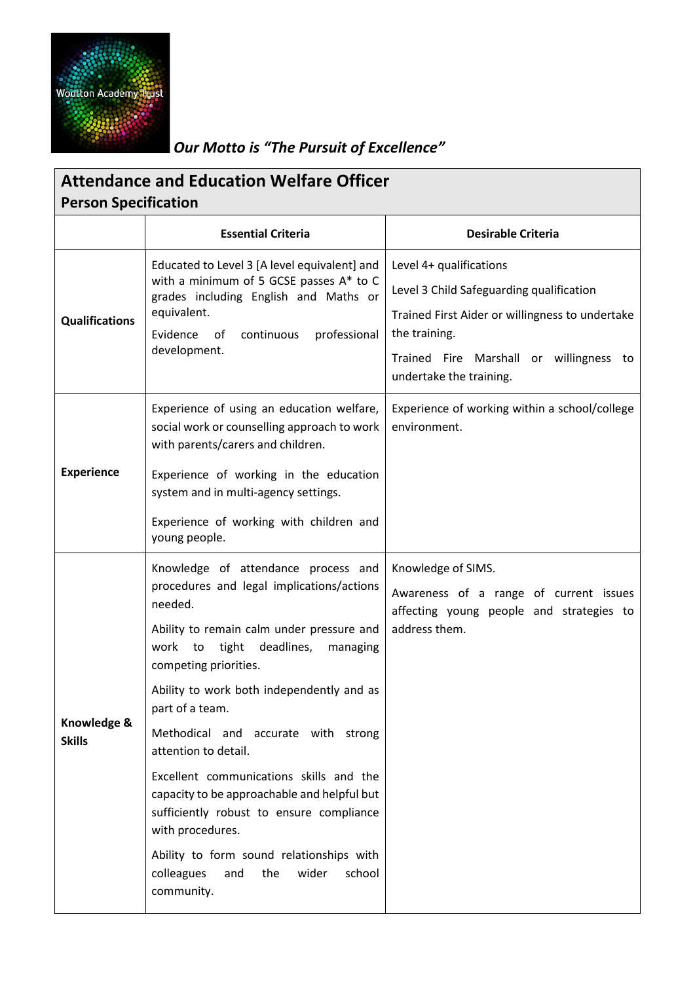

## *Our Motto is "The Pursuit of Excellence"*

| <b>Attendance and Education Welfare Officer</b><br><b>Person Specification</b> |                                                                                                                                                                                                                                                                                                                                                                                                                                                                                                                                                                                                                      |                                                                                                                                                                                                               |  |  |  |
|--------------------------------------------------------------------------------|----------------------------------------------------------------------------------------------------------------------------------------------------------------------------------------------------------------------------------------------------------------------------------------------------------------------------------------------------------------------------------------------------------------------------------------------------------------------------------------------------------------------------------------------------------------------------------------------------------------------|---------------------------------------------------------------------------------------------------------------------------------------------------------------------------------------------------------------|--|--|--|
|                                                                                | <b>Essential Criteria</b>                                                                                                                                                                                                                                                                                                                                                                                                                                                                                                                                                                                            | <b>Desirable Criteria</b>                                                                                                                                                                                     |  |  |  |
| <b>Qualifications</b>                                                          | Educated to Level 3 [A level equivalent] and<br>with a minimum of 5 GCSE passes A* to C<br>grades including English and Maths or<br>equivalent.<br>Evidence<br>of<br>continuous<br>professional<br>development.                                                                                                                                                                                                                                                                                                                                                                                                      | Level 4+ qualifications<br>Level 3 Child Safeguarding qualification<br>Trained First Aider or willingness to undertake<br>the training.<br>Trained Fire Marshall or willingness to<br>undertake the training. |  |  |  |
| <b>Experience</b>                                                              | Experience of using an education welfare,<br>social work or counselling approach to work<br>with parents/carers and children.<br>Experience of working in the education<br>system and in multi-agency settings.<br>Experience of working with children and<br>young people.                                                                                                                                                                                                                                                                                                                                          | Experience of working within a school/college<br>environment.                                                                                                                                                 |  |  |  |
| Knowledge &<br><b>Skills</b>                                                   | Knowledge of attendance process and<br>procedures and legal implications/actions<br>needed.<br>Ability to remain calm under pressure and<br>deadlines,<br>work<br>tight<br>managing<br>to<br>competing priorities.<br>Ability to work both independently and as<br>part of a team.<br>Methodical and accurate with strong<br>attention to detail.<br>Excellent communications skills and the<br>capacity to be approachable and helpful but<br>sufficiently robust to ensure compliance<br>with procedures.<br>Ability to form sound relationships with<br>colleagues<br>the<br>wider<br>school<br>and<br>community. | Knowledge of SIMS.<br>Awareness of a range of current issues<br>affecting young people and strategies to<br>address them.                                                                                     |  |  |  |